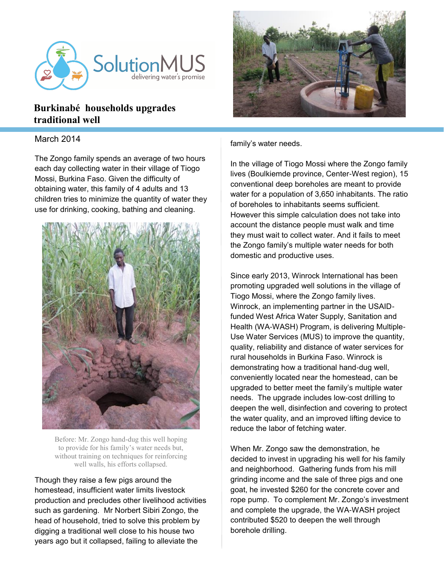

## **Burkinabé households upgrades traditional well**

## March 2014

The Zongo family spends an average of two hours each day collecting water in their village of Tiogo Mossi, Burkina Faso. Given the difficulty of obtaining water, this family of 4 adults and 13 children tries to minimize the quantity of water they use for drinking, cooking, bathing and cleaning.



Before: Mr. Zongo hand-dug this well hoping to provide for his family's water needs but, without training on techniques for reinforcing well walls, his efforts collapsed.

Though they raise a few pigs around the homestead, insufficient water limits livestock production and precludes other livelihood activities such as gardening. Mr Norbert Sibiri Zongo, the head of household, tried to solve this problem by digging a traditional well close to his house two years ago but it collapsed, failing to alleviate the



family's water needs.

In the village of Tiogo Mossi where the Zongo family lives (Boulkiemde province, Center-West region), 15 conventional deep boreholes are meant to provide water for a population of 3,650 inhabitants. The ratio of boreholes to inhabitants seems sufficient. However this simple calculation does not take into account the distance people must walk and time they must wait to collect water. And it fails to meet the Zongo family's multiple water needs for both domestic and productive uses.

Since early 2013, Winrock International has been promoting upgraded well solutions in the village of Tiogo Mossi, where the Zongo family lives. Winrock, an implementing partner in the USAIDfunded West Africa Water Supply, Sanitation and Health (WA-WASH) Program, is delivering Multiple-Use Water Services (MUS) to improve the quantity, quality, reliability and distance of water services for rural households in Burkina Faso. Winrock is demonstrating how a traditional hand-dug well, conveniently located near the homestead, can be upgraded to better meet the family's multiple water needs. The upgrade includes low-cost drilling to deepen the well, disinfection and covering to protect the water quality, and an improved lifting device to reduce the labor of fetching water.

When Mr. Zongo saw the demonstration, he decided to invest in upgrading his well for his family and neighborhood. Gathering funds from his mill grinding income and the sale of three pigs and one goat, he invested \$260 for the concrete cover and rope pump. To complement Mr. Zongo's investment and complete the upgrade, the WA-WASH project contributed \$520 to deepen the well through borehole drilling.